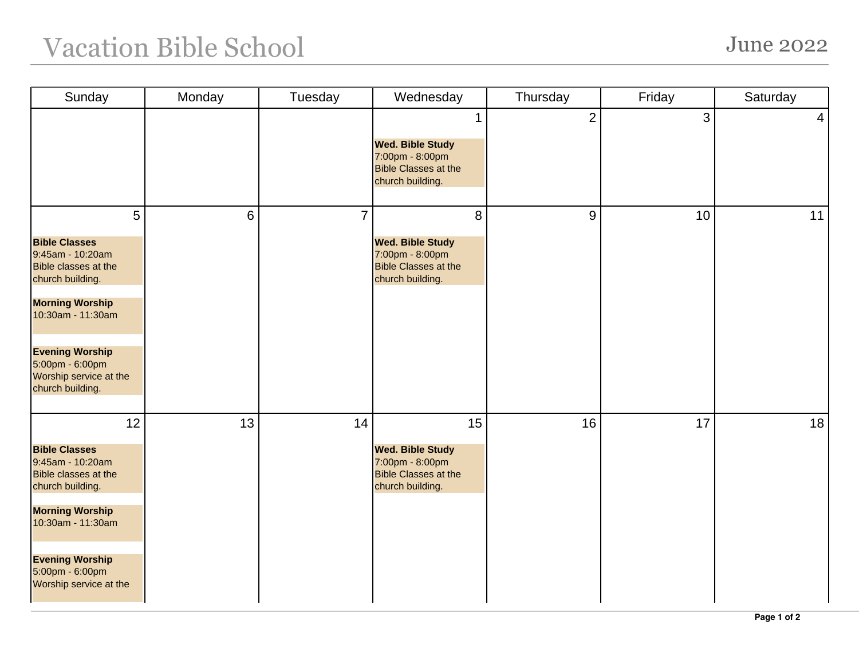## Vacation Bible School June 2022

| Sunday                                                                                                                                                                                                                                                   | Monday | Tuesday        | Wednesday                                                                                           | Thursday       | Friday | Saturday       |
|----------------------------------------------------------------------------------------------------------------------------------------------------------------------------------------------------------------------------------------------------------|--------|----------------|-----------------------------------------------------------------------------------------------------|----------------|--------|----------------|
|                                                                                                                                                                                                                                                          |        |                | <b>Wed. Bible Study</b><br>7:00pm - 8:00pm<br><b>Bible Classes at the</b><br>church building.       | $\overline{2}$ | 3      | $\overline{4}$ |
| $5\phantom{.0}$<br><b>Bible Classes</b><br>9:45am - 10:20am<br><b>Bible classes at the</b><br>church building.<br><b>Morning Worship</b><br>10:30am - 11:30am<br><b>Evening Worship</b><br>5:00pm - 6:00pm<br>Worship service at the<br>church building. | 6      | $\overline{7}$ | 8<br><b>Wed. Bible Study</b><br>7:00pm - 8:00pm<br><b>Bible Classes at the</b><br>church building.  | 9              | 10     | 11             |
| 12<br><b>Bible Classes</b><br>9:45am - 10:20am<br><b>Bible classes at the</b><br>church building.<br><b>Morning Worship</b><br>10:30am - 11:30am<br><b>Evening Worship</b><br>5:00pm - 6:00pm<br>Worship service at the                                  | 13     | 14             | 15<br><b>Wed. Bible Study</b><br>7:00pm - 8:00pm<br><b>Bible Classes at the</b><br>church building. | 16             | 17     | 18             |